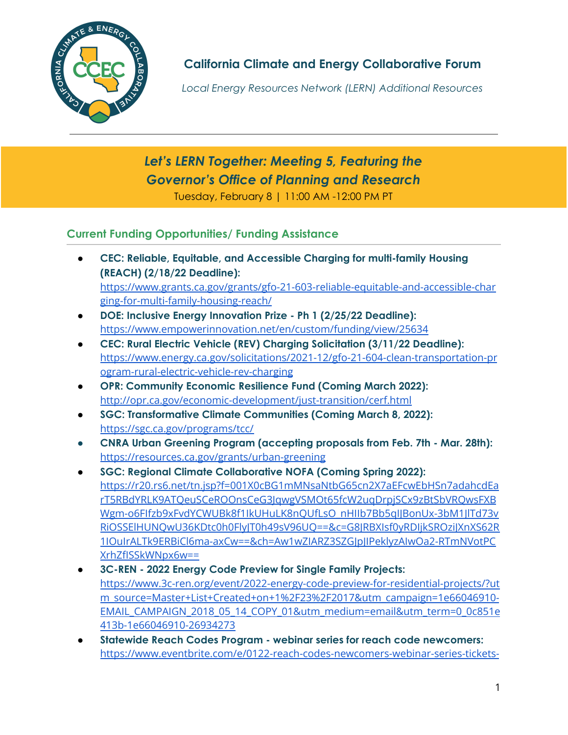

**California Climate and Energy Collaborative Forum**

*Local Energy Resources Network (LERN) Additional Resources*

*Let's LERN Together: Meeting 5, Featuring the Governor's Office of Planning and Research* Tuesday, February 8 | 11:00 AM -12:00 PM PT

# **Current Funding Opportunities/ Funding Assistance**

- **● CEC: Reliable, Equitable, and Accessible Charging for multi-family Housing (REACH) (2/18/22 Deadline):** [https://www.grants.ca.gov/grants/gfo-21-603-reliable-equitable-and-accessible-char](https://www.grants.ca.gov/grants/gfo-21-603-reliable-equitable-and-accessible-charging-for-multi-family-housing-reach/) [ging-for-multi-family-housing-reach/](https://www.grants.ca.gov/grants/gfo-21-603-reliable-equitable-and-accessible-charging-for-multi-family-housing-reach/)
- **DOE: Inclusive Energy Innovation Prize - Ph 1 (2/25/22 Deadline):** <https://www.empowerinnovation.net/en/custom/funding/view/25634>
- **CEC: Rural Electric Vehicle (REV) Charging Solicitation (3/11/22 Deadline):** [https://www.energy.ca.gov/solicitations/2021-12/gfo-21-604-clean-transportation-pr](https://www.energy.ca.gov/solicitations/2021-12/gfo-21-604-clean-transportation-program-rural-electric-vehicle-rev-charging) [ogram-rural-electric-vehicle-rev-charging](https://www.energy.ca.gov/solicitations/2021-12/gfo-21-604-clean-transportation-program-rural-electric-vehicle-rev-charging)
- **OPR: Community Economic Resilience Fund (Coming March 2022):** <http://opr.ca.gov/economic-development/just-transition/cerf.html>
- **SGC: Transformative Climate Communities (Coming March 8, 2022):** <https://sgc.ca.gov/programs/tcc/>
- **● CNRA Urban Greening Program (accepting proposals from Feb. 7th - Mar. 28th):** <https://resources.ca.gov/grants/urban-greening>
- **SGC: Regional Climate Collaborative NOFA (Coming Spring 2022):** [https://r20.rs6.net/tn.jsp?f=001X0cBG1mMNsaNtbG65cn2X7aEFcwEbHSn7adahcdEa](https://r20.rs6.net/tn.jsp?f=001X0cBG1mMNsaNtbG65cn2X7aEFcwEbHSn7adahcdEarT5RBdYRLK9ATQeuSCeROOnsCeG3JqwgVSMOt65fcW2uqDrpjSCx9zBtSbVRQwsFXBWgm-o6FIfzb9xFvdYCWUBk8f1IkUHuLK8nQUfLsO_nHIIb7Bb5qIJBonUx-3bM1JlTd73vRiOSSElHUNQwU36KDtc0h0FlyJT0h49sV96UQ==&c=G8JRBXIsf0yRDIjkSROziJXnXS62R1IOuIrALTk9ERBiCl6ma-axCw==&ch=Aw1wZIARZ3SZGJpJIPeklyzAIwOa2-RTmNVotPCXrhZfISSkWNpx6w==) [rT5RBdYRLK9ATQeuSCeROOnsCeG3JqwgVSMOt65fcW2uqDrpjSCx9zBtSbVRQwsFXB](https://r20.rs6.net/tn.jsp?f=001X0cBG1mMNsaNtbG65cn2X7aEFcwEbHSn7adahcdEarT5RBdYRLK9ATQeuSCeROOnsCeG3JqwgVSMOt65fcW2uqDrpjSCx9zBtSbVRQwsFXBWgm-o6FIfzb9xFvdYCWUBk8f1IkUHuLK8nQUfLsO_nHIIb7Bb5qIJBonUx-3bM1JlTd73vRiOSSElHUNQwU36KDtc0h0FlyJT0h49sV96UQ==&c=G8JRBXIsf0yRDIjkSROziJXnXS62R1IOuIrALTk9ERBiCl6ma-axCw==&ch=Aw1wZIARZ3SZGJpJIPeklyzAIwOa2-RTmNVotPCXrhZfISSkWNpx6w==) [Wgm-o6FIfzb9xFvdYCWUBk8f1IkUHuLK8nQUfLsO\\_nHIIb7Bb5qIJBonUx-3bM1JlTd73v](https://r20.rs6.net/tn.jsp?f=001X0cBG1mMNsaNtbG65cn2X7aEFcwEbHSn7adahcdEarT5RBdYRLK9ATQeuSCeROOnsCeG3JqwgVSMOt65fcW2uqDrpjSCx9zBtSbVRQwsFXBWgm-o6FIfzb9xFvdYCWUBk8f1IkUHuLK8nQUfLsO_nHIIb7Bb5qIJBonUx-3bM1JlTd73vRiOSSElHUNQwU36KDtc0h0FlyJT0h49sV96UQ==&c=G8JRBXIsf0yRDIjkSROziJXnXS62R1IOuIrALTk9ERBiCl6ma-axCw==&ch=Aw1wZIARZ3SZGJpJIPeklyzAIwOa2-RTmNVotPCXrhZfISSkWNpx6w==) [RiOSSElHUNQwU36KDtc0h0FlyJT0h49sV96UQ==&c=G8JRBXIsf0yRDIjkSROziJXnXS62R](https://r20.rs6.net/tn.jsp?f=001X0cBG1mMNsaNtbG65cn2X7aEFcwEbHSn7adahcdEarT5RBdYRLK9ATQeuSCeROOnsCeG3JqwgVSMOt65fcW2uqDrpjSCx9zBtSbVRQwsFXBWgm-o6FIfzb9xFvdYCWUBk8f1IkUHuLK8nQUfLsO_nHIIb7Bb5qIJBonUx-3bM1JlTd73vRiOSSElHUNQwU36KDtc0h0FlyJT0h49sV96UQ==&c=G8JRBXIsf0yRDIjkSROziJXnXS62R1IOuIrALTk9ERBiCl6ma-axCw==&ch=Aw1wZIARZ3SZGJpJIPeklyzAIwOa2-RTmNVotPCXrhZfISSkWNpx6w==) [1IOuIrALTk9ERBiCl6ma-axCw==&ch=Aw1wZIARZ3SZGJpJIPeklyzAIwOa2-RTmNVotPC](https://r20.rs6.net/tn.jsp?f=001X0cBG1mMNsaNtbG65cn2X7aEFcwEbHSn7adahcdEarT5RBdYRLK9ATQeuSCeROOnsCeG3JqwgVSMOt65fcW2uqDrpjSCx9zBtSbVRQwsFXBWgm-o6FIfzb9xFvdYCWUBk8f1IkUHuLK8nQUfLsO_nHIIb7Bb5qIJBonUx-3bM1JlTd73vRiOSSElHUNQwU36KDtc0h0FlyJT0h49sV96UQ==&c=G8JRBXIsf0yRDIjkSROziJXnXS62R1IOuIrALTk9ERBiCl6ma-axCw==&ch=Aw1wZIARZ3SZGJpJIPeklyzAIwOa2-RTmNVotPCXrhZfISSkWNpx6w==) [XrhZfISSkWNpx6w==](https://r20.rs6.net/tn.jsp?f=001X0cBG1mMNsaNtbG65cn2X7aEFcwEbHSn7adahcdEarT5RBdYRLK9ATQeuSCeROOnsCeG3JqwgVSMOt65fcW2uqDrpjSCx9zBtSbVRQwsFXBWgm-o6FIfzb9xFvdYCWUBk8f1IkUHuLK8nQUfLsO_nHIIb7Bb5qIJBonUx-3bM1JlTd73vRiOSSElHUNQwU36KDtc0h0FlyJT0h49sV96UQ==&c=G8JRBXIsf0yRDIjkSROziJXnXS62R1IOuIrALTk9ERBiCl6ma-axCw==&ch=Aw1wZIARZ3SZGJpJIPeklyzAIwOa2-RTmNVotPCXrhZfISSkWNpx6w==)
- **3C-REN - 2022 Energy Code Preview for Single Family Projects:** [https://www.3c-ren.org/event/2022-energy-code-preview-for-residential-projects/?ut](https://www.3c-ren.org/event/2022-energy-code-preview-for-residential-projects/?utm_source=Master+List+Created+on+1%2F23%2F2017&utm_campaign=1e66046910-EMAIL_CAMPAIGN_2018_05_14_COPY_01&utm_medium=email&utm_term=0_0c851e413b-1e66046910-26934273) [m\\_source=Master+List+Created+on+1%2F23%2F2017&utm\\_campaign=1e66046910-](https://www.3c-ren.org/event/2022-energy-code-preview-for-residential-projects/?utm_source=Master+List+Created+on+1%2F23%2F2017&utm_campaign=1e66046910-EMAIL_CAMPAIGN_2018_05_14_COPY_01&utm_medium=email&utm_term=0_0c851e413b-1e66046910-26934273) [EMAIL\\_CAMPAIGN\\_2018\\_05\\_14\\_COPY\\_01&utm\\_medium=email&utm\\_term=0\\_0c851e](https://www.3c-ren.org/event/2022-energy-code-preview-for-residential-projects/?utm_source=Master+List+Created+on+1%2F23%2F2017&utm_campaign=1e66046910-EMAIL_CAMPAIGN_2018_05_14_COPY_01&utm_medium=email&utm_term=0_0c851e413b-1e66046910-26934273) [413b-1e66046910-26934273](https://www.3c-ren.org/event/2022-energy-code-preview-for-residential-projects/?utm_source=Master+List+Created+on+1%2F23%2F2017&utm_campaign=1e66046910-EMAIL_CAMPAIGN_2018_05_14_COPY_01&utm_medium=email&utm_term=0_0c851e413b-1e66046910-26934273)
- **Statewide Reach Codes Program - webinar series for reach code newcomers:** [https://www.eventbrite.com/e/0122-reach-codes-newcomers-webinar-series-tickets-](https://www.eventbrite.com/e/0122-reach-codes-newcomers-webinar-series-tickets-239183463177)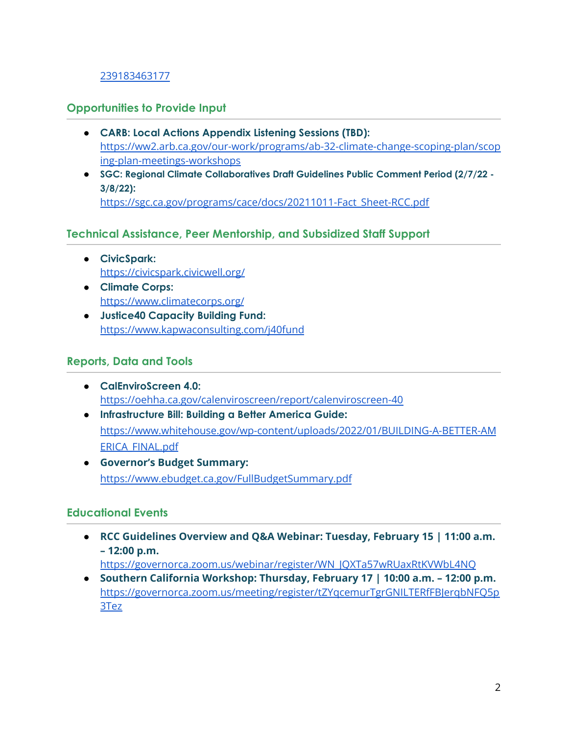## [239183463177](https://www.eventbrite.com/e/0122-reach-codes-newcomers-webinar-series-tickets-239183463177)

## **Opportunities to Provide Input**

- **● CARB: Local Actions Appendix Listening Sessions (TBD):** [https://ww2.arb.ca.gov/our-work/programs/ab-32-climate-change-scoping-plan/scop](https://ww2.arb.ca.gov/our-work/programs/ab-32-climate-change-scoping-plan/scoping-plan-meetings-workshops) [ing-plan-meetings-workshops](https://ww2.arb.ca.gov/our-work/programs/ab-32-climate-change-scoping-plan/scoping-plan-meetings-workshops)
- **SGC: Regional Climate Collaboratives Draft Guidelines Public Comment Period (2/7/22 - 3/8/22):** [https://sgc.ca.gov/programs/cace/docs/20211011-Fact\\_Sheet-RCC.pdf](https://sgc.ca.gov/programs/cace/docs/20211011-Fact_Sheet-RCC.pdf)

## **Technical Assistance, Peer Mentorship, and Subsidized Staff Support**

- **CivicSpark:** <https://civicspark.civicwell.org/>
- **Climate Corps:** <https://www.climatecorps.org/>
- **Justice40 Capacity Building Fund:** <https://www.kapwaconsulting.com/j40fund>

#### **Reports, Data and Tools**

- **CalEnviroScreen 4.0:** <https://oehha.ca.gov/calenviroscreen/report/calenviroscreen-40>
- **Infrastructure Bill: Building a Better America Guide:** [https://www.whitehouse.gov/wp-content/uploads/2022/01/BUILDING-A-BETTER-AM](https://www.whitehouse.gov/wp-content/uploads/2022/01/BUILDING-A-BETTER-AMERICA_FINAL.pdf) [ERICA\\_FINAL.pdf](https://www.whitehouse.gov/wp-content/uploads/2022/01/BUILDING-A-BETTER-AMERICA_FINAL.pdf)
- **Governor's Budget Summary:** <https://www.ebudget.ca.gov/FullBudgetSummary.pdf>

#### **Educational Events**

● **RCC Guidelines Overview and Q&A Webinar: Tuesday, February 15 | 11:00 a.m. – 12:00 p.m.**

[https://governorca.zoom.us/webinar/register/WN\\_JQXTa57wRUaxRtKVWbL4NQ](https://governorca.zoom.us/webinar/register/WN_JQXTa57wRUaxRtKVWbL4NQ)

● **Southern California Workshop: Thursday, February 17 | 10:00 a.m. – 12:00 p.m.** [https://governorca.zoom.us/meeting/register/tZYqcemurTgrGNILTERfFBJerqbNFQ5p](https://governorca.zoom.us/meeting/register/tZYqcemurTgrGNILTERfFBJerqbNFQ5p3Tez) [3Tez](https://governorca.zoom.us/meeting/register/tZYqcemurTgrGNILTERfFBJerqbNFQ5p3Tez)